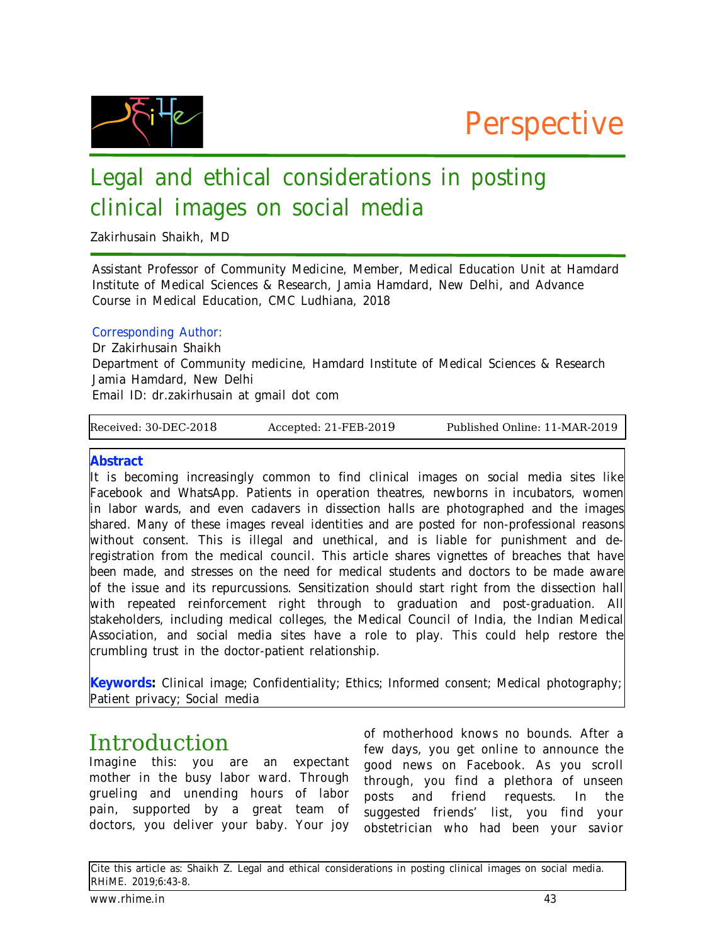



# Legal and ethical considerations in posting clinical images on social media

Zakirhusain Shaikh, MD

Assistant Professor of Community Medicine, Member, Medical Education Unit at Hamdard Institute of Medical Sciences & Research, Jamia Hamdard, New Delhi, and Advance Course in Medical Education, CMC Ludhiana, 2018

#### Corresponding Author:

Dr Zakirhusain Shaikh Department of Community medicine, Hamdard Institute of Medical Sciences & Research Jamia Hamdard, New Delhi Email ID: dr.zakirhusain at gmail dot com

Received: 30-DEC-2018 Accepted: 21-FEB-2019 Published Online: 11-MAR-2019

#### **Abstract**

It is becoming increasingly common to find clinical images on social media sites like Facebook and WhatsApp. Patients in operation theatres, newborns in incubators, women in labor wards, and even cadavers in dissection halls are photographed and the images shared. Many of these images reveal identities and are posted for non-professional reasons without consent. This is illegal and unethical, and is liable for punishment and deregistration from the medical council. This article shares vignettes of breaches that have been made, and stresses on the need for medical students and doctors to be made aware of the issue and its repurcussions. Sensitization should start right from the dissection hall with repeated reinforcement right through to graduation and post-graduation. All stakeholders, including medical colleges, the Medical Council of India, the Indian Medical Association, and social media sites have a role to play. This could help restore the crumbling trust in the doctor-patient relationship.

**Keywords:** Clinical image; Confidentiality; Ethics; Informed consent; Medical photography; Patient privacy; Social media

## Introduction

Imagine this: you are an expectant mother in the busy labor ward. Through grueling and unending hours of labor pain, supported by a great team of doctors, you deliver your baby. Your joy

of motherhood knows no bounds. After a few days, you get online to announce the good news on Facebook. As you scroll through, you find a plethora of unseen posts and friend requests. In the suggested friends' list, you find your obstetrician who had been your savior

Cite this article as: Shaikh Z. Legal and ethical considerations in posting clinical images on social media. RHiME. 2019;6:43-8.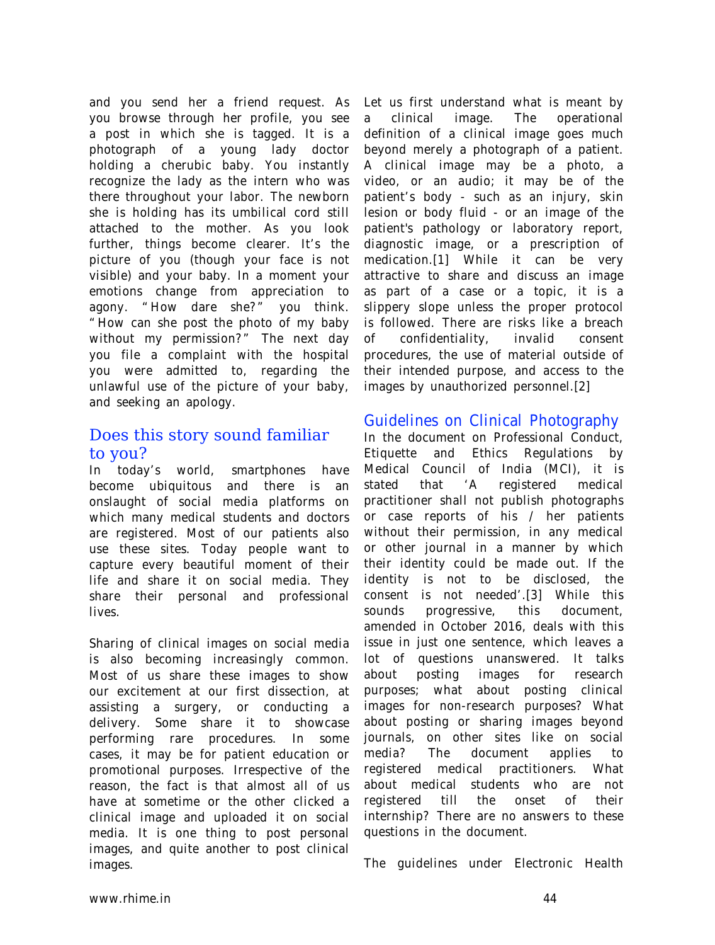and you send her a friend request. As you browse through her profile, you see a post in which she is tagged. It is a photograph of a young lady doctor holding a cherubic baby. You instantly recognize the lady as the intern who was there throughout your labor. The newborn she is holding has its umbilical cord still attached to the mother. As you look further, things become clearer. It's the picture of you (though your face is not visible) and your baby. In a moment your emotions change from appreciation to agony. "How dare she?" you think. "How can she post the photo of my baby without my permission?" The next day you file a complaint with the hospital you were admitted to, regarding the unlawful use of the picture of your baby, and seeking an apology.

### Does this story sound familiar to you?

In today's world, smartphones have become ubiquitous and there is an onslaught of social media platforms on which many medical students and doctors are registered. Most of our patients also use these sites. Today people want to capture every beautiful moment of their life and share it on social media. They share their personal and professional lives.

Sharing of clinical images on social media is also becoming increasingly common. Most of us share these images to show our excitement at our first dissection, at assisting a surgery, or conducting a delivery. Some share it to showcase performing rare procedures. In some cases, it may be for patient education or promotional purposes. Irrespective of the reason, the fact is that almost all of us have at sometime or the other clicked a clinical image and uploaded it on social media. It is one thing to post personal images, and quite another to post clinical images.

Let us first understand what is meant by a clinical image. The operational definition of a clinical image goes much beyond merely a photograph of a patient. A clinical image may be a photo, a video, or an audio; it may be of the patient's body - such as an injury, skin lesion or body fluid - or an image of the patient's pathology or laboratory report, diagnostic image, or a prescription of medication.[1] While it can be very attractive to share and discuss an image as part of a case or a topic, it is a slippery slope unless the proper protocol is followed. There are risks like a breach of confidentiality, invalid consent procedures, the use of material outside of their intended purpose, and access to the images by unauthorized personnel.[2]

#### Guidelines on Clinical Photography

In the document on Professional Conduct, Etiquette and Ethics Regulations by Medical Council of India (MCI), it is stated that 'A registered medical practitioner shall not publish photographs or case reports of his / her patients without their permission, in any medical or other journal in a manner by which their identity could be made out. If the identity is not to be disclosed, the consent is not needed'.[3] While this sounds progressive, this document, amended in October 2016, deals with this issue in just one sentence, which leaves a lot of questions unanswered. It talks about posting images for research purposes; what about posting clinical images for non-research purposes? What about posting or sharing images beyond journals, on other sites like on social media? The document applies to registered medical practitioners. What about medical students who are not registered till the onset of their internship? There are no answers to these questions in the document.

The guidelines under Electronic Health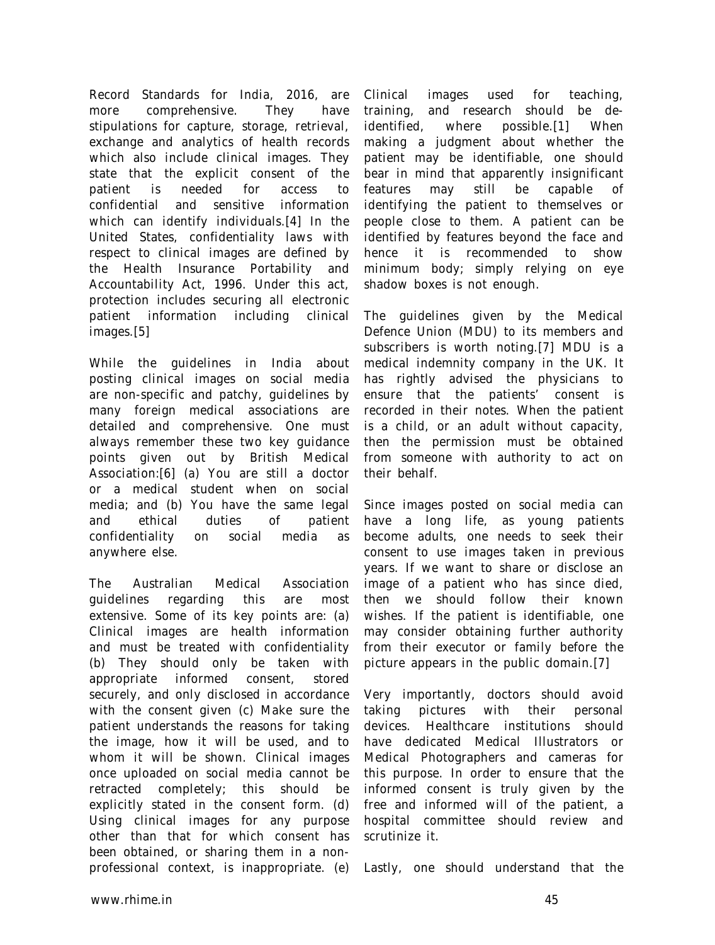Record Standards for India, 2016, are more comprehensive. They have stipulations for capture, storage, retrieval, exchange and analytics of health records which also include clinical images. They state that the explicit consent of the patient is needed for access to confidential and sensitive information which can identify individuals.[4] In the United States, confidentiality laws with respect to clinical images are defined by the Health Insurance Portability and Accountability Act, 1996. Under this act, protection includes securing all electronic patient information including clinical images.[5]

While the guidelines in India about posting clinical images on social media are non-specific and patchy, guidelines by many foreign medical associations are detailed and comprehensive. One must always remember these two key guidance points given out by British Medical Association:[6] (a) You are still a doctor or a medical student when on social media; and (b) You have the same legal and ethical duties of patient confidentiality on social media as anywhere else.

The Australian Medical Association guidelines regarding this are most extensive. Some of its key points are: (a) Clinical images are health information and must be treated with confidentiality (b) They should only be taken with appropriate informed consent, stored securely, and only disclosed in accordance with the consent given (c) Make sure the patient understands the reasons for taking the image, how it will be used, and to whom it will be shown. Clinical images once uploaded on social media cannot be retracted completely; this should be explicitly stated in the consent form. (d) Using clinical images for any purpose other than that for which consent has been obtained, or sharing them in a nonprofessional context, is inappropriate. (e)

Clinical images used for teaching, training, and research should be deidentified, where possible.[1] When making a judgment about whether the patient may be identifiable, one should bear in mind that apparently insignificant features may still be capable of identifying the patient to themselves or people close to them. A patient can be identified by features beyond the face and hence it is recommended to show minimum body; simply relying on eye shadow boxes is not enough.

The guidelines given by the Medical Defence Union (MDU) to its members and subscribers is worth noting.[7] MDU is a medical indemnity company in the UK. It has rightly advised the physicians to ensure that the patients' consent is recorded in their notes. When the patient is a child, or an adult without capacity, then the permission must be obtained from someone with authority to act on their behalf.

Since images posted on social media can have a long life, as young patients become adults, one needs to seek their consent to use images taken in previous years. If we want to share or disclose an image of a patient who has since died, then we should follow their known wishes. If the patient is identifiable, one may consider obtaining further authority from their executor or family before the picture appears in the public domain.[7]

Very importantly, doctors should avoid taking pictures with their personal devices. Healthcare institutions should have dedicated Medical Illustrators or Medical Photographers and cameras for this purpose. In order to ensure that the informed consent is truly given by the free and informed will of the patient, a hospital committee should review and scrutinize it.

Lastly, one should understand that the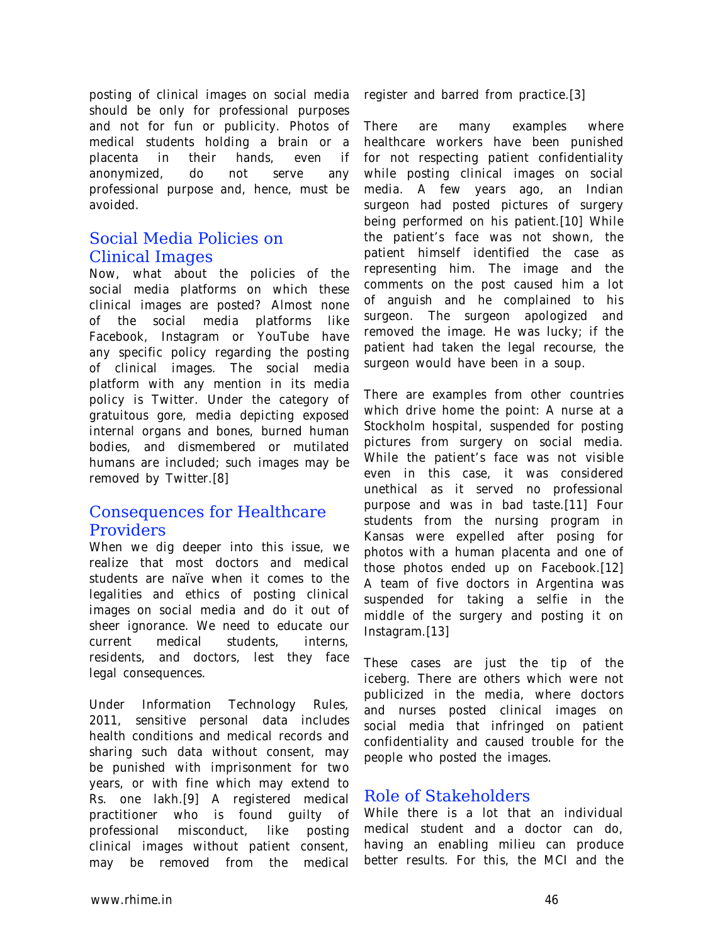posting of clinical images on social media should be only for professional purposes and not for fun or publicity. Photos of medical students holding a brain or a placenta in their hands, even if anonymized, do not serve any professional purpose and, hence, must be avoided.

### Social Media Policies on Clinical Images

Now, what about the policies of the social media platforms on which these clinical images are posted? Almost none of the social media platforms like Facebook, Instagram or YouTube have any specific policy regarding the posting of clinical images. The social media platform with any mention in its media policy is Twitter. Under the category of gratuitous gore, media depicting exposed internal organs and bones, burned human bodies, and dismembered or mutilated humans are included; such images may be removed by Twitter.[8]

#### Consequences for Healthcare Providers

When we dig deeper into this issue, we realize that most doctors and medical students are naïve when it comes to the legalities and ethics of posting clinical images on social media and do it out of sheer ignorance. We need to educate our current medical students, interns, residents, and doctors, lest they face legal consequences.

Under Information Technology Rules, 2011, sensitive personal data includes health conditions and medical records and sharing such data without consent, may be punished with imprisonment for two years, or with fine which may extend to Rs. one lakh.[9] A registered medical practitioner who is found guilty of professional misconduct, like posting clinical images without patient consent, may be removed from the medical

register and barred from practice.[3]

There are many examples where healthcare workers have been punished for not respecting patient confidentiality while posting clinical images on social media. A few years ago, an Indian surgeon had posted pictures of surgery being performed on his patient.[10] While the patient's face was not shown, the patient himself identified the case as representing him. The image and the comments on the post caused him a lot of anguish and he complained to his surgeon. The surgeon apologized and removed the image. He was lucky; if the patient had taken the legal recourse, the surgeon would have been in a soup.

There are examples from other countries which drive home the point: A nurse at a Stockholm hospital, suspended for posting pictures from surgery on social media. While the patient's face was not visible even in this case, it was considered unethical as it served no professional purpose and was in bad taste.[11] Four students from the nursing program in Kansas were expelled after posing for photos with a human placenta and one of those photos ended up on Facebook.[12] A team of five doctors in Argentina was suspended for taking a selfie in the middle of the surgery and posting it on Instagram.[13]

These cases are just the tip of the iceberg. There are others which were not publicized in the media, where doctors and nurses posted clinical images on social media that infringed on patient confidentiality and caused trouble for the people who posted the images.

#### Role of Stakeholders

While there is a lot that an individual medical student and a doctor can do, having an enabling milieu can produce better results. For this, the MCI and the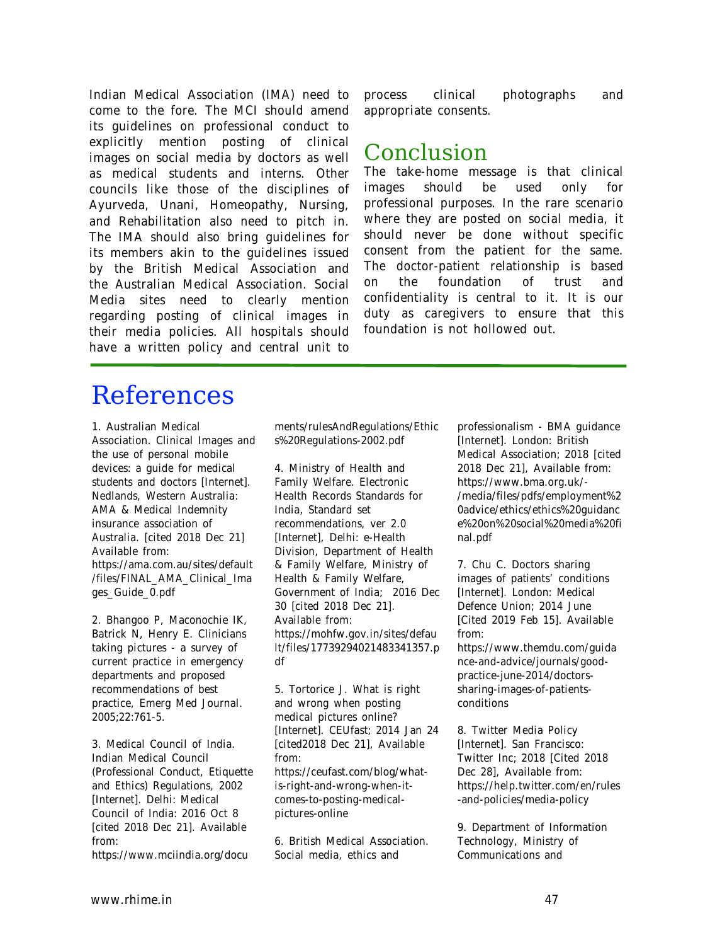Indian Medical Association (IMA) need to come to the fore. The MCI should amend its guidelines on professional conduct to explicitly mention posting of clinical images on social media by doctors as well as medical students and interns. Other councils like those of the disciplines of Ayurveda, Unani, Homeopathy, Nursing, and Rehabilitation also need to pitch in. The IMA should also bring guidelines for its members akin to the guidelines issued by the British Medical Association and the Australian Medical Association. Social Media sites need to clearly mention regarding posting of clinical images in their media policies. All hospitals should have a written policy and central unit to

process clinical photographs and appropriate consents.

## Conclusion

The take-home message is that clinical images should be used only for professional purposes. In the rare scenario where they are posted on social media, it should never be done without specific consent from the patient for the same. The doctor-patient relationship is based on the foundation of trust and confidentiality is central to it. It is our duty as caregivers to ensure that this foundation is not hollowed out.

# References

1. Australian Medical Association. Clinical Images and the use of personal mobile devices: a guide for medical students and doctors [Internet]. Nedlands, Western Australia: AMA & Medical Indemnity insurance association of Australia. [cited 2018 Dec 21] Available from: https://ama.com.au/sites/default /files/FINAL\_AMA\_Clinical\_Ima ges\_Guide\_0.pdf

2. Bhangoo P, Maconochie IK, Batrick N, Henry E. Clinicians taking pictures - a survey of current practice in emergency departments and proposed recommendations of best practice, Emerg Med Journal. 2005;22:761-5.

3. Medical Council of India. Indian Medical Council (Professional Conduct, Etiquette and Ethics) Regulations, 2002 [Internet]. Delhi: Medical Council of India: 2016 Oct 8 [cited 2018 Dec 21]. Available from:

https://www.mciindia.org/docu

ments/rulesAndRegulations/Ethic s%20Regulations-2002.pdf

4. Ministry of Health and Family Welfare. Electronic Health Records Standards for India, Standard set recommendations, ver 2.0 [Internet], Delhi: e-Health Division, Department of Health & Family Welfare, Ministry of Health & Family Welfare, Government of India; 2016 Dec 30 [cited 2018 Dec 21]. Available from: https://mohfw.gov.in/sites/defau lt/files/17739294021483341357.p df

5. Tortorice J. What is right and wrong when posting medical pictures online? [Internet]. CEUfast; 2014 Jan 24 [cited2018 Dec 21], Available from: https://ceufast.com/blog/whatis-right-and-wrong-when-itcomes-to-posting-medicalpictures-online

6. British Medical Association. Social media, ethics and

professionalism - BMA guidance [Internet]. London: British Medical Association; 2018 [cited 2018 Dec 21], Available from: https://www.bma.org.uk/- /media/files/pdfs/employment%2 0advice/ethics/ethics%20guidanc e%20on%20social%20media%20fi nal.pdf

7. Chu C. Doctors sharing images of patients' conditions [Internet]. London: Medical Defence Union; 2014 June [Cited 2019 Feb 15]. Available from:

https://www.themdu.com/guida nce-and-advice/journals/goodpractice-june-2014/doctorssharing-images-of-patientsconditions

8. Twitter Media Policy [Internet]. San Francisco: Twitter Inc; 2018 [Cited 2018 Dec 28], Available from: https://help.twitter.com/en/rules -and-policies/media-policy

9. Department of Information Technology, Ministry of Communications and